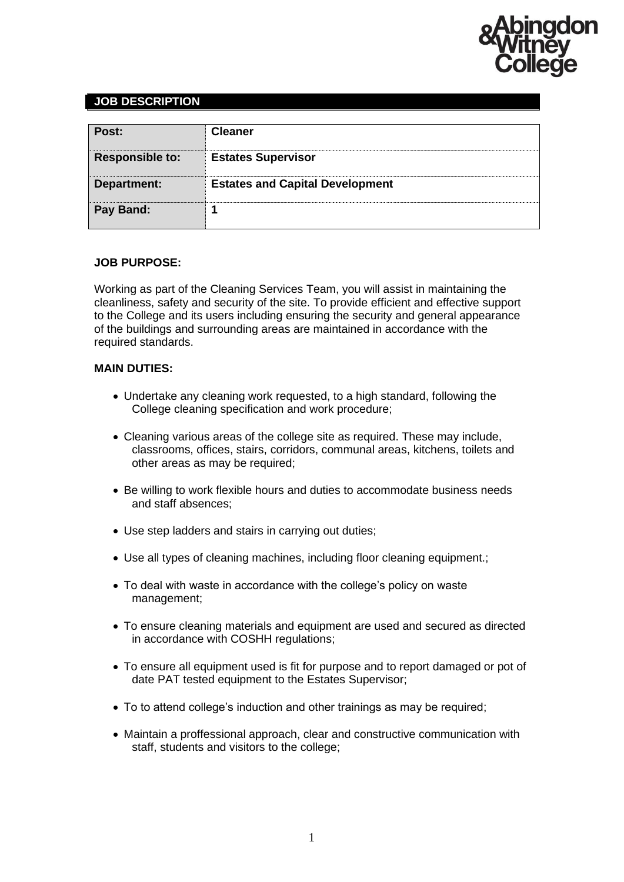

## **JOB DESCRIPTION**

| Post:                  | <b>Cleaner</b>                         |
|------------------------|----------------------------------------|
| <b>Responsible to:</b> | <b>Estates Supervisor</b>              |
| Department:            | <b>Estates and Capital Development</b> |
| Pay Band:              |                                        |

#### **JOB PURPOSE:**

Working as part of the Cleaning Services Team, you will assist in maintaining the cleanliness, safety and security of the site. To provide efficient and effective support to the College and its users including ensuring the security and general appearance of the buildings and surrounding areas are maintained in accordance with the required standards.

#### **MAIN DUTIES:**

- Undertake any cleaning work requested, to a high standard, following the College cleaning specification and work procedure;
- Cleaning various areas of the college site as required. These may include, classrooms, offices, stairs, corridors, communal areas, kitchens, toilets and other areas as may be required;
- Be willing to work flexible hours and duties to accommodate business needs and staff absences;
- Use step ladders and stairs in carrying out duties;
- Use all types of cleaning machines, including floor cleaning equipment.;
- To deal with waste in accordance with the college's policy on waste management;
- To ensure cleaning materials and equipment are used and secured as directed in accordance with COSHH regulations;
- To ensure all equipment used is fit for purpose and to report damaged or pot of date PAT tested equipment to the Estates Supervisor;
- To to attend college's induction and other trainings as may be required;
- Maintain a proffessional approach, clear and constructive communication with staff, students and visitors to the college;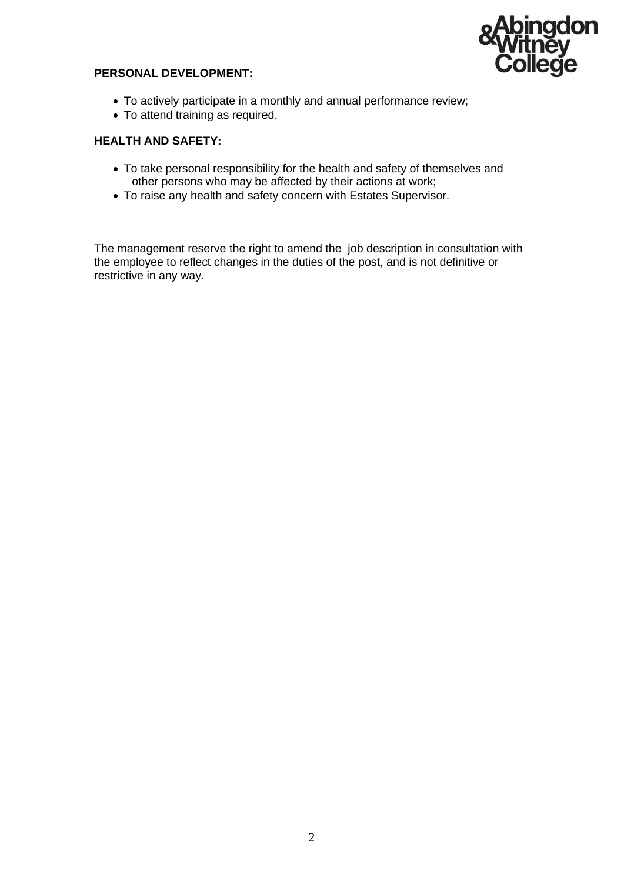

### **PERSONAL DEVELOPMENT:**

- To actively participate in a monthly and annual performance review;
- To attend training as required.

### **HEALTH AND SAFETY:**

- To take personal responsibility for the health and safety of themselves and other persons who may be affected by their actions at work;
- To raise any health and safety concern with Estates Supervisor.

The management reserve the right to amend the job description in consultation with the employee to reflect changes in the duties of the post, and is not definitive or restrictive in any way.